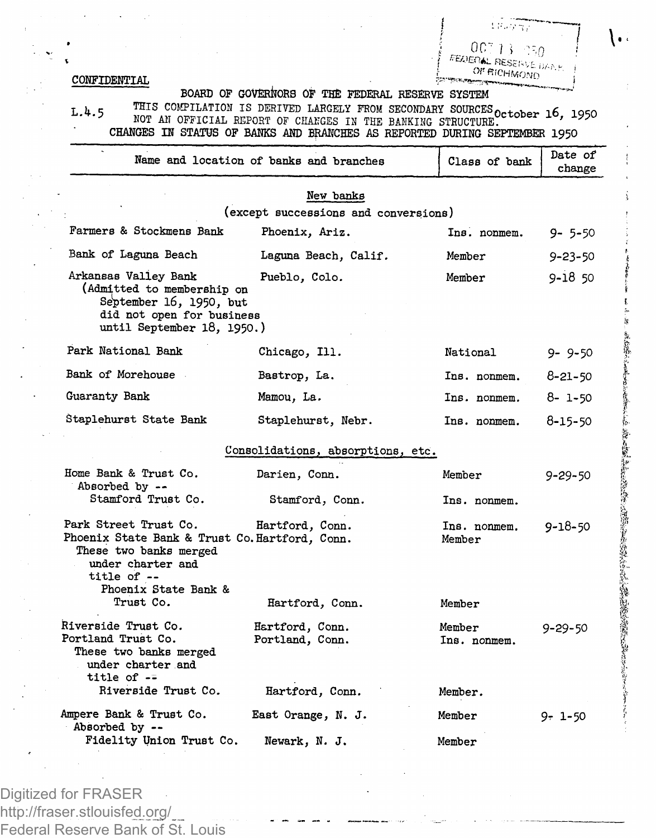*J , oc-rn :-,i)* OF RICHMOND *[* 

धर्मनगर

## **COMFIDEMTIAL**

## **BOARD OF GOVERNORS OF THE FEDERAL RESERVE SYSTEM**

L.4.5 MOT AN OURCELATION IS DESITIVED LARGELY FROM SECONDARY SOURCES October 16, 195<br>CHANGES IN STATUS OF BANKS AND BRANCHES IN REFORMED DURING SEPTEMBER 1950

|                                                                                                                                                                            | Name and location of banks and branches               | Class of bank                     | Date of<br>change |  |  |  |  |
|----------------------------------------------------------------------------------------------------------------------------------------------------------------------------|-------------------------------------------------------|-----------------------------------|-------------------|--|--|--|--|
| New banks<br>(except successions and conversions)                                                                                                                          |                                                       |                                   |                   |  |  |  |  |
| Farmers & Stockmens Bank                                                                                                                                                   | Phoenix, Ariz.                                        | Ins. nonmem.                      | $9 - 5 - 50$      |  |  |  |  |
| Bank of Laguna Beach                                                                                                                                                       | Laguna Beach, Calif.                                  | Member                            | $9 - 23 - 50$     |  |  |  |  |
| Arkansas Valley Bank<br>(Admitted to membership on<br>September 16, 1950, but<br>did not open for business<br>until September 18, 1950.)                                   | Pueblo, Colo.                                         | Member                            | $9 - 18,50$       |  |  |  |  |
| Park National Bank                                                                                                                                                         | Chicago, Ill.                                         | National                          | $9 - 9 - 50$      |  |  |  |  |
| Bank of Morehouse                                                                                                                                                          | Bastrop, La.                                          | Ins. nonmem.                      | 8-21-50           |  |  |  |  |
| Guaranty Bank                                                                                                                                                              | Mamou, La.                                            | Ins. nonmem.                      | 8-1-50            |  |  |  |  |
| Staplehurst State Bank                                                                                                                                                     | Staplehurst, Nebr.                                    | Ins. nonmem.                      | 8-15-50           |  |  |  |  |
|                                                                                                                                                                            | Consolidations, absorptions, etc.                     |                                   |                   |  |  |  |  |
| Home Bank & Trust Co.<br>Absorbed by --<br>Stamford Trust Co.                                                                                                              | Darien, Conn.<br>Stamford, Conn.                      | Member<br>Ins. nonmem.            | $9 - 29 - 50$     |  |  |  |  |
| Park Street Trust Co.<br>Phoenix State Bank & Trust Co. Hartford, Conn.<br>These two banks merged<br>under charter and<br>title of --<br>Phoenix State Bank &<br>Trust Co. | Hartford, Conn.<br>Hartford, Conn.                    | Ins. nonmem.<br>Member<br>Member  | $9 - 18 - 50$     |  |  |  |  |
| Riverside Trust Co.<br>Portland Trust Co.<br>These two banks merged<br>under charter and<br>title of $-$<br>Riverside Trust Co.                                            | Hartford, Conn.<br>Portland, Conn.<br>Hartford, Conn. | Member<br>Ins. nonmem.<br>Member. | $9 - 29 - 50$     |  |  |  |  |
| Ampere Bank & Trust Co.<br>Absorbed by --<br>Fidelity Union Trust Co.                                                                                                      | East Orange, N. J.<br>Newark, N. J.                   | Member<br>Member                  | 9-1-50            |  |  |  |  |

Digitized for FRASER http://fraser.stlouisfed.org/ Federal Reserve Bank of St. Louis ، ۱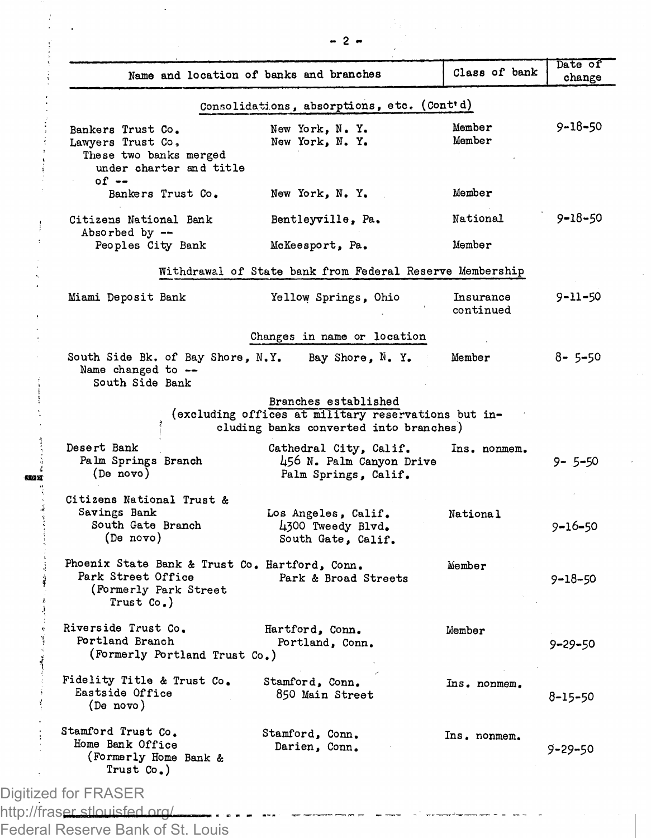|                                                                                                                | Name and location of banks and branches                                                                               | Class of bank          | Date of<br>change |
|----------------------------------------------------------------------------------------------------------------|-----------------------------------------------------------------------------------------------------------------------|------------------------|-------------------|
|                                                                                                                |                                                                                                                       |                        |                   |
|                                                                                                                | Consolidations, absorptions, etc. (Cont'd)                                                                            |                        |                   |
| Bankers Trust Co.<br>Lawyers Trust Co,<br>These two banks merged<br>under charter and title<br>$of --$         | New York, N. Y.<br>New York, N. Y.                                                                                    | Member<br>Member       | 9-18-50           |
| Bankers Trust Co.                                                                                              | New York, N.Y.                                                                                                        | Member                 |                   |
| Citizens National Bank<br>Absorbed by --                                                                       | Bentleyville, Pa.                                                                                                     | National               | 9-18-50           |
| Peoples City Bank                                                                                              | McKeesport, Pa.                                                                                                       | Member                 |                   |
|                                                                                                                | Withdrawal of State bank from Federal Reserve Membership                                                              |                        |                   |
| Miami Deposit Bank                                                                                             | Yellow Springs, Ohio                                                                                                  | Insurance<br>continued | $9 - 11 - 50$     |
|                                                                                                                | Changes in name or location                                                                                           |                        |                   |
| South Side Bk. of Bay Shore, N.Y.<br>Name changed to --<br>South Side Bank                                     | Bay Shore, N. Y.                                                                                                      | Member                 | 8- 5-50           |
|                                                                                                                | Branches established<br>(excluding offices at military reservations but in-<br>cluding banks converted into branches) |                        |                   |
| Desert Bank<br>Palm Springs Branch<br>(De novo)                                                                | Cathedral City, Calif.<br>456 N. Palm Canyon Drive<br>Palm Springs, Calif.                                            | Ins. nonmem.           | $9 - 5 - 50$      |
| Citizens National Trust &<br>Savings Bank<br>South Gate Branch<br>(De novo)                                    | Los Angeles, Calif.<br>4300 Tweedy Blvd.<br>South Gate, Calif.                                                        | National               | $9 - 16 - 50$     |
| Phoenix State Bank & Trust Co. Hartford, Conn.<br>Park Street Office<br>(Formerly Park Street<br>Trust $Co.$ ) | Park & Broad Streets                                                                                                  | Member                 | 9-18-50           |
| Riverside Trust Co.<br>Portland Branch<br>(Formerly Portland Trust Co.)                                        | Hartford, Conn.<br>Portland, Conn.                                                                                    | Member                 | 9-29-50           |
| Fidelity Title & Trust Co.<br>Eastside Office<br>(De novo)                                                     | Stamford, Conn.<br>850 Main Street                                                                                    | Ins. nonmem.           | 8-15-50           |
| Stamford Trust Co.<br>Home Bank Office                                                                         | Stamford, Conn.<br>Darien, Conn.                                                                                      | Ins. nonmem.           | 9-29-50           |

Federal Reserve Bank of St. Louis

*- 2 -*

 $\ddot{\phantom{a}}$ 

 $\frac{1}{2}$ l,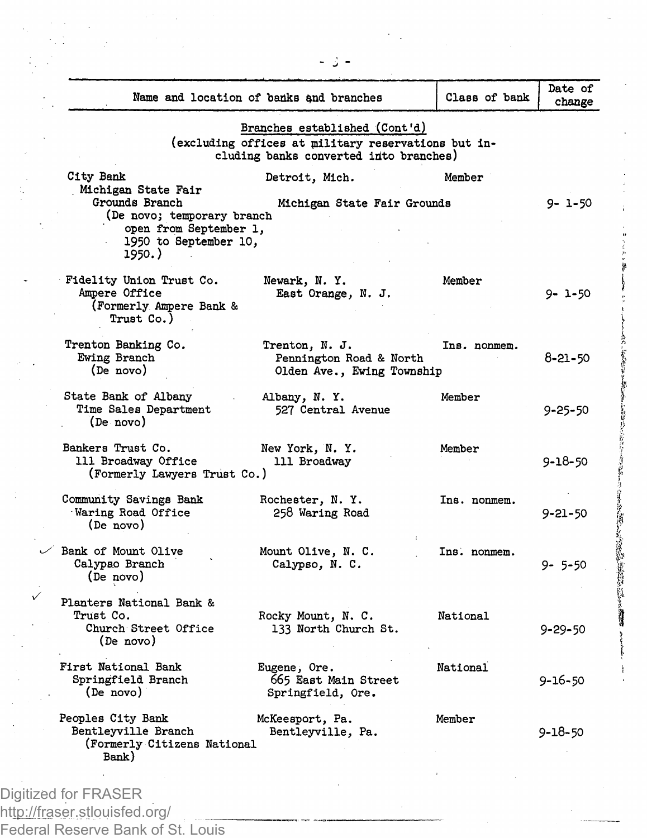|                                              | Branches established (Cont'd)                                                                 |              |               |
|----------------------------------------------|-----------------------------------------------------------------------------------------------|--------------|---------------|
|                                              | (excluding offices at military reservations but in-<br>cluding banks converted into branches) |              |               |
| City Bank                                    | Detroit, Mich.                                                                                | Member       |               |
| Michigan State Fair                          |                                                                                               |              |               |
| Grounds Branch<br>(De novo; temporary branch | Michigan State Fair Grounds                                                                   |              | $9 - 1 - 50$  |
| open from September 1,                       |                                                                                               |              |               |
| 1950 to September 10,                        |                                                                                               |              |               |
| 1950.)                                       |                                                                                               |              |               |
| Fidelity Union Trust Co.                     | Newark, N.Y.                                                                                  | Member       |               |
| Ampere Office                                | East Orange, N. J.                                                                            |              | 9- 1-50       |
| (Formerly Ampere Bank &                      |                                                                                               |              |               |
| Trust Co.)                                   |                                                                                               |              |               |
| Trenton Banking Co.                          | Trenton, N. J.                                                                                | Ins. nonmem. |               |
| Ewing Branch                                 | Pennington Road & North                                                                       |              | 8-21-50       |
| (De novo)                                    | Olden Ave., Ewing Township                                                                    |              |               |
| State Bank of Albany                         | Albany, N.Y.                                                                                  | Member       |               |
| Time Sales Department                        | 527 Central Avenue                                                                            |              | 9-25-50       |
| (De novo)                                    |                                                                                               |              |               |
| Bankers Trust Co.                            | New York, N. Y.                                                                               | Member       |               |
| 111 Broadway Office                          | 111 Broadway                                                                                  |              | 9-18-50       |
| (Formerly Lawyers Trust Co.)                 |                                                                                               |              |               |
| Community Savings Bank                       | Rochester, N.Y.                                                                               | Ins. nonmem. |               |
| Waring Road Office                           | 258 Waring Road                                                                               |              | 9-21-50       |
| (De novo)                                    |                                                                                               |              |               |
| Bank of Mount Olive                          | Mount Olive, N. C.                                                                            | Ins. nonmem. |               |
| Calypso Branch                               | Calypso, N. C.                                                                                |              | $9 - 5 - 50$  |
| (De novo)                                    |                                                                                               |              |               |
| Planters National Bank &                     |                                                                                               |              |               |
| Trust Co.                                    | Rocky Mount, N. C.                                                                            | National     |               |
| Church Street Office                         | 133 North Church St.                                                                          |              | 9-29-50       |
| (De novo)                                    |                                                                                               |              |               |
| First National Bank                          | Eugene, Ore.                                                                                  | National     |               |
| Springfield Branch                           | 665 East Main Street                                                                          |              | 9-16-50       |
| (De novo)                                    | Springfield, Ore.                                                                             |              |               |
| Peoples City Bank                            | McKeesport, Pa.                                                                               | Member       |               |
| Bentleyville Branch                          | Bentleyville, Pa.                                                                             |              | $9 - 18 - 50$ |
| (Formerly Citizens National                  |                                                                                               |              |               |
| Bank)                                        |                                                                                               |              |               |

http://fraser.stlouisfed.org/ Federal Reserve Bank of St. Louis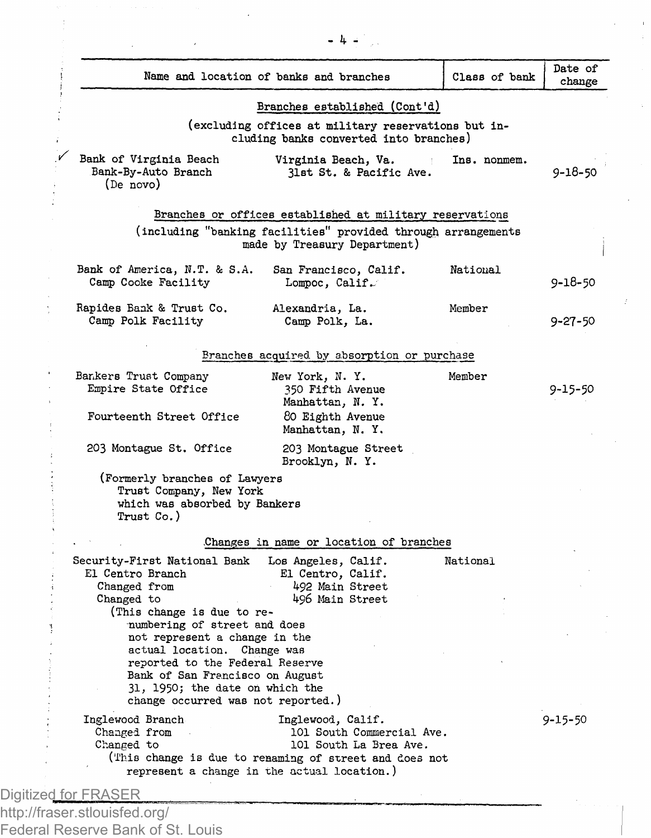|                                                                  |                                                             | Class of bank                                                                                                                                                                                                                                                                                                                                                                                                                                                        | Date of<br>change                                                                                                                                                                                                                                                                                                                                                                  |
|------------------------------------------------------------------|-------------------------------------------------------------|----------------------------------------------------------------------------------------------------------------------------------------------------------------------------------------------------------------------------------------------------------------------------------------------------------------------------------------------------------------------------------------------------------------------------------------------------------------------|------------------------------------------------------------------------------------------------------------------------------------------------------------------------------------------------------------------------------------------------------------------------------------------------------------------------------------------------------------------------------------|
|                                                                  |                                                             |                                                                                                                                                                                                                                                                                                                                                                                                                                                                      |                                                                                                                                                                                                                                                                                                                                                                                    |
|                                                                  |                                                             |                                                                                                                                                                                                                                                                                                                                                                                                                                                                      |                                                                                                                                                                                                                                                                                                                                                                                    |
| Bank of Virginia Beach<br>Bank-By-Auto Branch<br>(De novo)       | Virginia Beach, Va.<br>31st St. & Pacific Ave.              | Ins. nonmem.                                                                                                                                                                                                                                                                                                                                                                                                                                                         | 9-18-50                                                                                                                                                                                                                                                                                                                                                                            |
|                                                                  |                                                             |                                                                                                                                                                                                                                                                                                                                                                                                                                                                      |                                                                                                                                                                                                                                                                                                                                                                                    |
|                                                                  |                                                             |                                                                                                                                                                                                                                                                                                                                                                                                                                                                      |                                                                                                                                                                                                                                                                                                                                                                                    |
| Bank of America, N.T. & S.A.<br>Camp Cooke Facility              | San Francisco, Calif.<br>Lompoc, Calif.                     | National                                                                                                                                                                                                                                                                                                                                                                                                                                                             | 9-18-50                                                                                                                                                                                                                                                                                                                                                                            |
| Rapides Bank & Trust Co.<br>Camp Polk Facility                   | Alexandria, La.<br>Camp Polk. La.                           | Member                                                                                                                                                                                                                                                                                                                                                                                                                                                               | $9 - 27 - 50$                                                                                                                                                                                                                                                                                                                                                                      |
|                                                                  |                                                             |                                                                                                                                                                                                                                                                                                                                                                                                                                                                      |                                                                                                                                                                                                                                                                                                                                                                                    |
| Bankers Trust Company<br>Empire State Office                     | New York, N.Y.<br>350 Fifth Avenue<br>Manhattan, N.Y.       | Member                                                                                                                                                                                                                                                                                                                                                                                                                                                               | 9-15-50                                                                                                                                                                                                                                                                                                                                                                            |
| Fourteenth Street Office                                         | 80 Eighth Avenue<br>Manhattan, N.Y.                         |                                                                                                                                                                                                                                                                                                                                                                                                                                                                      |                                                                                                                                                                                                                                                                                                                                                                                    |
| 203 Montague St. Office                                          | 203 Montague Street<br>Brooklyn, N.Y.                       |                                                                                                                                                                                                                                                                                                                                                                                                                                                                      |                                                                                                                                                                                                                                                                                                                                                                                    |
| Trust Co.)                                                       |                                                             |                                                                                                                                                                                                                                                                                                                                                                                                                                                                      |                                                                                                                                                                                                                                                                                                                                                                                    |
|                                                                  |                                                             |                                                                                                                                                                                                                                                                                                                                                                                                                                                                      |                                                                                                                                                                                                                                                                                                                                                                                    |
| Security-First National Bank<br>El Centro Branch<br>Changed from | Los Angeles, Calif.<br>El Centro, Calif.<br>492 Main Street | National                                                                                                                                                                                                                                                                                                                                                                                                                                                             |                                                                                                                                                                                                                                                                                                                                                                                    |
|                                                                  |                                                             |                                                                                                                                                                                                                                                                                                                                                                                                                                                                      |                                                                                                                                                                                                                                                                                                                                                                                    |
|                                                                  |                                                             |                                                                                                                                                                                                                                                                                                                                                                                                                                                                      |                                                                                                                                                                                                                                                                                                                                                                                    |
| Inglewood Branch<br>Changed from<br>Changed to                   | Inglewood, Calif.<br>101 South La Brea Ave.                 |                                                                                                                                                                                                                                                                                                                                                                                                                                                                      | $9 - 15 - 50$                                                                                                                                                                                                                                                                                                                                                                      |
|                                                                  | Changed to                                                  | Name and location of banks and branches<br>made by Treasury Department)<br>(Formerly branches of Lawyers<br>Trust Company, New York<br>which was absorbed by Bankers<br>496 Main Street<br>(This change is due to re-<br>numbering of street and does<br>not represent a change in the<br>actual location. Change was<br>reported to the Federal Reserve<br>Bank of San Francisco on August<br>31, 1950; the date on which the<br>change occurred was not reported.) | Branches established (Cont'd)<br>(excluding offices at military reservations but in-<br>cluding banks converted into branches)<br>Branches or offices established at military reservations<br>(including "banking facilities" provided through arrangements<br>Branches acquired by absorption or purchase<br>Changes in name or location of branches<br>101 South Commercial Ave. |

Federal Reserve Bank of St. Louis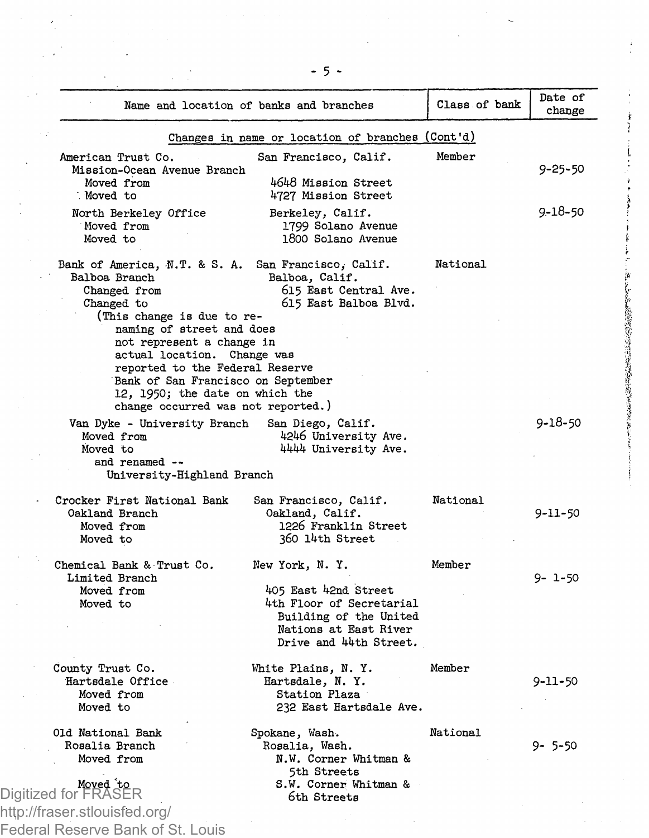|                                                                                                                                                                                                                                                                                                                                                       | Name and location of banks and branches                                                                                                         | Class of bank | Date of<br>change |
|-------------------------------------------------------------------------------------------------------------------------------------------------------------------------------------------------------------------------------------------------------------------------------------------------------------------------------------------------------|-------------------------------------------------------------------------------------------------------------------------------------------------|---------------|-------------------|
| Changes in name or location of branches (Cont'd)                                                                                                                                                                                                                                                                                                      |                                                                                                                                                 |               |                   |
| American Trust Co.<br>Mission-Ocean Avenue Branch<br>Moved from<br>Moved to                                                                                                                                                                                                                                                                           | San Francisco, Calif.<br>4648 Mission Street<br>4727 Mission Street                                                                             | Member        | 9-25-50           |
| North Berkeley Office<br>Moved from<br>Moved to                                                                                                                                                                                                                                                                                                       | Berkeley, Calif.<br>1799 Solano Avenue<br>1800 Solano Avenue                                                                                    |               | 9-18-50           |
| Bank of America, N.T. & S. A.<br>Balboa Branch<br>Changed from<br>Changed to<br>(This change is due to re-<br>naming of street and does<br>not represent a change in<br>actual location. Change was<br>reported to the Federal Reserve<br>Bank of San Francisco on September<br>12, 1950; the date on which the<br>change occurred was not reported.) | San Francisco, Calif.<br>Balboa, Calif.<br>615 East Central Ave.<br>615 East Balboa Blvd.                                                       | National      |                   |
| Van Dyke - University Branch<br>Moved from<br>Moved to<br>and renamed --<br>University-Highland Branch                                                                                                                                                                                                                                                | San Diego, Calif.<br>4246 University Ave.<br>4444 University Ave.                                                                               |               | 9-18-50           |
| Crocker First National Bank<br>Oakland Branch<br>Moved from<br>Moved to                                                                                                                                                                                                                                                                               | San Francisco, Calif.<br>Oakland, Calif.<br>1226 Franklin Street<br>360 14th Street                                                             | National      | $9 - 11 - 50$     |
| Chemical Bank & Trust Co.<br>Limited Branch<br>Moved from<br>Moved to                                                                                                                                                                                                                                                                                 | New York, N.Y.<br>405 East 42nd Street<br>4th Floor of Secretarial<br>Building of the United<br>Nations at East River<br>Drive and 44th Street. | Member        | 9- 1-50           |
| County Trust Co.<br>Hartsdale Office<br>Moved from<br>Moved to                                                                                                                                                                                                                                                                                        | White Plains, N.Y.<br>Hartsdale, N.Y.<br>Station Plaza<br>232 East Hartsdale Ave.                                                               | Member        | 9-11-50           |
| Old National Bank<br>Rosalia Branch<br>Moved from<br>Moved to                                                                                                                                                                                                                                                                                         | Spokane, Wash.<br>Rosalia, Wash.<br>N.W. Corner Whitman &<br>5th Streets<br>S.W. Corner Whitman &                                               | National      | 9-5-50            |
| Digitized for FRASER<br>httn://fraear etlouiefad ora/                                                                                                                                                                                                                                                                                                 | 6th Streets                                                                                                                                     |               |                   |

http://fraser.stlouisfed.org/ Federal Reserve Bank of St. Louis 「神」というのとのための状況のないとは、また、このことを見ることをあることをしている

 $\ddot{\mathbf{r}}$